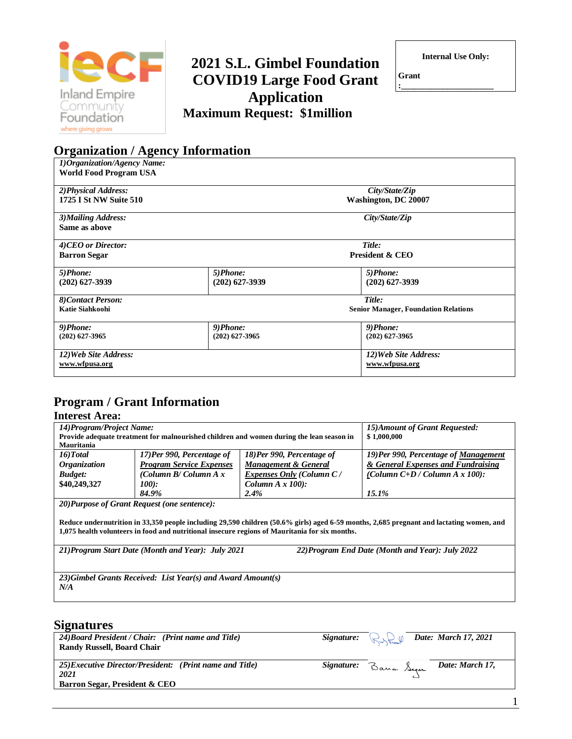

**Organization / Agency Information**

## **2021 S.L. Gimbel Foundation COVID19 Large Food Grant Application Maximum Request: \$1million**

**Internal Use Only:**

**Grant :\_\_\_\_\_\_\_\_\_\_\_\_\_\_\_\_\_\_\_\_\_\_**

| 1) Organization/Agency Name:  |                  |                                             |
|-------------------------------|------------------|---------------------------------------------|
| <b>World Food Program USA</b> |                  |                                             |
|                               |                  |                                             |
| 2) Physical Address:          |                  | City/State/Zip                              |
| <b>1725 I St NW Suite 510</b> |                  | <b>Washington, DC 20007</b>                 |
| 3) Mailing Address:           |                  | City/State/Zip                              |
| Same as above                 |                  |                                             |
| 4)CEO or Director:            |                  | Title:                                      |
|                               |                  | <b>President &amp; CEO</b>                  |
| <b>Barron Segar</b>           |                  |                                             |
| 5)Phone:                      | 5)Phone:         | 5)Phone:                                    |
| $(202)$ 627-3939              | $(202)$ 627-3939 | $(202)$ 627-3939                            |
| 8)Contact Person:             |                  | Title:                                      |
| Katie Siahkoohi               |                  | <b>Senior Manager, Foundation Relations</b> |
|                               |                  |                                             |
| 9)Phone:                      | 9)Phone:         | 9)Phone:                                    |
| $(202)$ 627-3965              | $(202)$ 627-3965 | $(202)$ 627-3965                            |
| 12) Web Site Address:         |                  | 12) Web Site Address:                       |
| www.wfpusa.org                |                  | www.wfpusa.org                              |
|                               |                  |                                             |

## **Program / Grant Information**

### **Interest Area:**

| 14) Program/Project Name:                                                                                                                |                                                              |                                                                                          | 15) Amount of Grant Requested:        |  |  |
|------------------------------------------------------------------------------------------------------------------------------------------|--------------------------------------------------------------|------------------------------------------------------------------------------------------|---------------------------------------|--|--|
|                                                                                                                                          |                                                              | Provide adequate treatment for malnourished children and women during the lean season in | \$1,000,000                           |  |  |
| Mauritania                                                                                                                               |                                                              |                                                                                          |                                       |  |  |
| 16) Total                                                                                                                                | 17)Per 990, Percentage of                                    | 18)Per 990, Percentage of                                                                | 19) Per 990, Percentage of Management |  |  |
| <i><b>Organization</b></i>                                                                                                               | <b>Program Service Expenses</b>                              | <b>Management &amp; General</b>                                                          | & General Expenses and Fundraising    |  |  |
| <b>Budget:</b>                                                                                                                           | (Column B/Column $A x$                                       | <b>Expenses Only (Column C/</b>                                                          | (Column $C+D$ / Column A x 100):      |  |  |
| \$40,249,327                                                                                                                             | 100):                                                        | Column $A \times 100$ :                                                                  |                                       |  |  |
|                                                                                                                                          | 84.9%                                                        | 2.4%                                                                                     | $15.1\%$                              |  |  |
|                                                                                                                                          | 20) Purpose of Grant Request (one sentence):                 |                                                                                          |                                       |  |  |
|                                                                                                                                          |                                                              |                                                                                          |                                       |  |  |
| Reduce undernutrition in 33,350 people including 29,590 children (50.6% girls) aged 6-59 months, 2,685 pregnant and lactating women, and |                                                              |                                                                                          |                                       |  |  |
| 1,075 health volunteers in food and nutritional insecure regions of Mauritania for six months.                                           |                                                              |                                                                                          |                                       |  |  |
|                                                                                                                                          |                                                              |                                                                                          |                                       |  |  |
| 22) Program End Date (Month and Year): July 2022<br>21) Program Start Date (Month and Year): July 2021                                   |                                                              |                                                                                          |                                       |  |  |
|                                                                                                                                          |                                                              |                                                                                          |                                       |  |  |
|                                                                                                                                          |                                                              |                                                                                          |                                       |  |  |
|                                                                                                                                          | 23) Gimbel Grants Received: List Year(s) and Award Amount(s) |                                                                                          |                                       |  |  |
| N/A                                                                                                                                      |                                                              |                                                                                          |                                       |  |  |
|                                                                                                                                          |                                                              |                                                                                          |                                       |  |  |

## **Signatures**

| 24) Board President / Chair: (Print name and Title)<br>Randy Russell, Board Chair                           |                       | Signature: $\bigcup_{\text{max}}$ Date: March 17, 2021 |
|-------------------------------------------------------------------------------------------------------------|-----------------------|--------------------------------------------------------|
| 25)Executive Director/President: (Print name and Title)<br>2021<br><b>Barron Segar, President &amp; CEO</b> | Signature: Bann Segar | Date: March 17,                                        |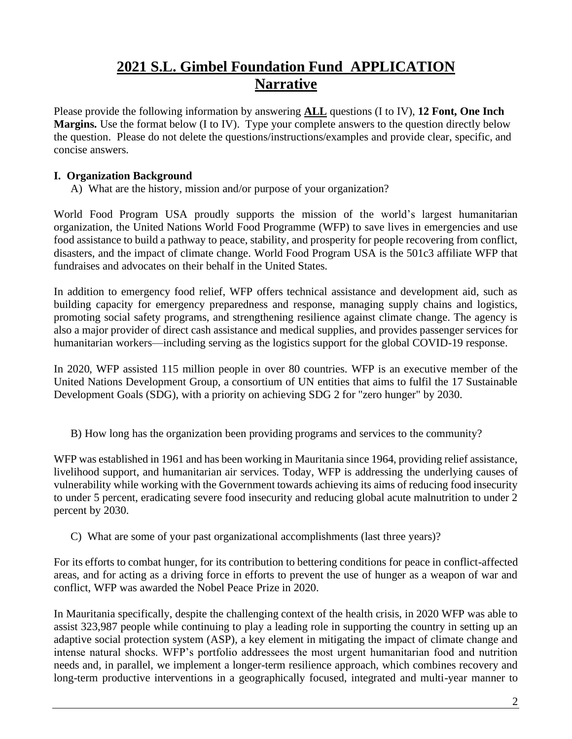## **2021 S.L. Gimbel Foundation Fund APPLICATION Narrative**

Please provide the following information by answering **ALL** questions (I to IV), **12 Font, One Inch Margins.** Use the format below (I to IV). Type your complete answers to the question directly below the question. Please do not delete the questions/instructions/examples and provide clear, specific, and concise answers.

## **I. Organization Background**

A) What are the history, mission and/or purpose of your organization?

World Food Program USA proudly supports the mission of the world's largest humanitarian organization, the United Nations World Food Programme (WFP) to save lives in emergencies and use food assistance to build a pathway to peace, stability, and prosperity for people recovering from conflict, disasters, and the impact of climate change. World Food Program USA is the 501c3 affiliate WFP that fundraises and advocates on their behalf in the United States.

In addition to emergency food relief, WFP offers technical assistance and development aid, such as building capacity for emergency preparedness and response, managing supply chains and logistics, promoting social safety programs, and strengthening resilience against climate change. The agency is also a major provider of direct cash assistance and medical supplies, and provides passenger services for humanitarian workers—including serving as the logistics support for the global COVID-19 response.

In 2020, WFP assisted 115 million people in over 80 countries. WFP is an executive member of the United Nations Development Group, a consortium of UN entities that aims to fulfil the 17 Sustainable Development Goals (SDG), with a priority on achieving SDG 2 for "zero hunger" by 2030.

B) How long has the organization been providing programs and services to the community?

WFP was established in 1961 and has been working in Mauritania since 1964, providing relief assistance, livelihood support, and humanitarian air services. Today, WFP is addressing the underlying causes of vulnerability while working with the Government towards achieving its aims of reducing food insecurity to under 5 percent, eradicating severe food insecurity and reducing global acute malnutrition to under 2 percent by 2030.

C) What are some of your past organizational accomplishments (last three years)?

For its efforts to combat hunger, for its contribution to bettering conditions for peace in conflict-affected areas, and for acting as a driving force in efforts to prevent the use of hunger as a weapon of war and conflict, WFP was awarded the Nobel Peace Prize in 2020.

In Mauritania specifically, despite the challenging context of the health crisis, in 2020 WFP was able to assist 323,987 people while continuing to play a leading role in supporting the country in setting up an adaptive social protection system (ASP), a key element in mitigating the impact of climate change and intense natural shocks. WFP's portfolio addressees the most urgent humanitarian food and nutrition needs and, in parallel, we implement a longer-term resilience approach, which combines recovery and long-term productive interventions in a geographically focused, integrated and multi-year manner to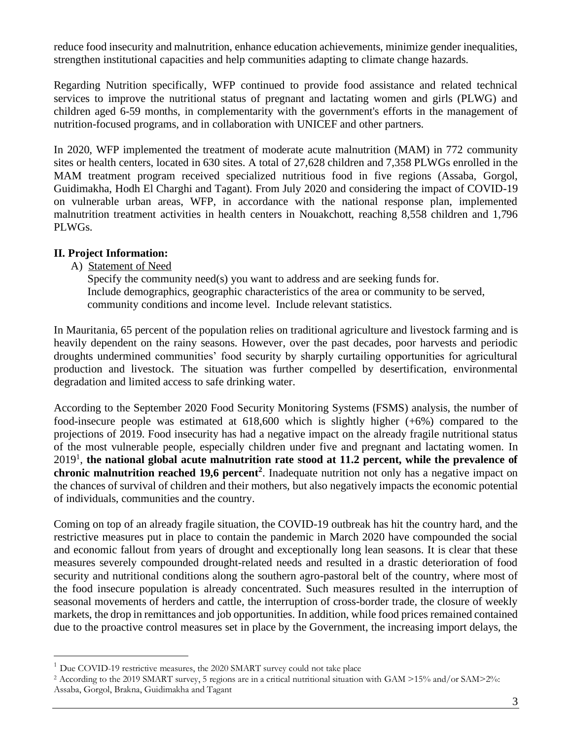reduce food insecurity and malnutrition, enhance education achievements, minimize gender inequalities, strengthen institutional capacities and help communities adapting to climate change hazards.

Regarding Nutrition specifically, WFP continued to provide food assistance and related technical services to improve the nutritional status of pregnant and lactating women and girls (PLWG) and children aged 6-59 months, in complementarity with the government's efforts in the management of nutrition-focused programs, and in collaboration with UNICEF and other partners.

In 2020, WFP implemented the treatment of moderate acute malnutrition (MAM) in 772 community sites or health centers, located in 630 sites. A total of 27,628 children and 7,358 PLWGs enrolled in the MAM treatment program received specialized nutritious food in five regions (Assaba, Gorgol, Guidimakha, Hodh El Charghi and Tagant). From July 2020 and considering the impact of COVID-19 on vulnerable urban areas, WFP, in accordance with the national response plan, implemented malnutrition treatment activities in health centers in Nouakchott, reaching 8,558 children and 1,796 PLWGs.

#### **II. Project Information:**

#### A) Statement of Need

Specify the community need(s) you want to address and are seeking funds for. Include demographics, geographic characteristics of the area or community to be served, community conditions and income level. Include relevant statistics.

In Mauritania, 65 percent of the population relies on traditional agriculture and livestock farming and is heavily dependent on the rainy seasons. However, over the past decades, poor harvests and periodic droughts undermined communities' food security by sharply curtailing opportunities for agricultural production and livestock. The situation was further compelled by desertification, environmental degradation and limited access to safe drinking water.

According to the September 2020 Food Security Monitoring Systems (FSMS) analysis, the number of food-insecure people was estimated at  $618,600$  which is slightly higher  $(+6%)$  compared to the projections of 2019. Food insecurity has had a negative impact on the already fragile nutritional status of the most vulnerable people, especially children under five and pregnant and lactating women. In 2019<sup>1</sup> , **the national global acute malnutrition rate stood at 11.2 percent, while the prevalence of chronic malnutrition reached 19,6 percent<sup>2</sup>** . Inadequate nutrition not only has a negative impact on the chances of survival of children and their mothers, but also negatively impacts the economic potential of individuals, communities and the country.

Coming on top of an already fragile situation, the COVID-19 outbreak has hit the country hard, and the restrictive measures put in place to contain the pandemic in March 2020 have compounded the social and economic fallout from years of drought and exceptionally long lean seasons. It is clear that these measures severely compounded drought-related needs and resulted in a drastic deterioration of food security and nutritional conditions along the southern agro-pastoral belt of the country, where most of the food insecure population is already concentrated. Such measures resulted in the interruption of seasonal movements of herders and cattle, the interruption of cross-border trade, the closure of weekly markets, the drop in remittances and job opportunities. In addition, while food prices remained contained due to the proactive control measures set in place by the Government, the increasing import delays, the

 $1$  Due COVID-19 restrictive measures, the 2020 SMART survey could not take place

<sup>2</sup> According to the 2019 SMART survey, 5 regions are in a critical nutritional situation with GAM >15% and/or SAM>2%: Assaba, Gorgol, Brakna, Guidimakha and Tagant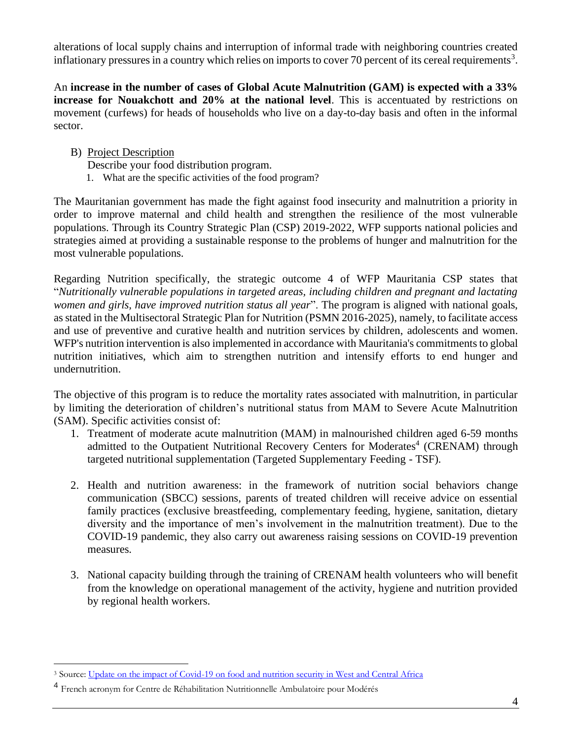alterations of local supply chains and interruption of informal trade with neighboring countries created inflationary pressures in a country which relies on imports to cover 70 percent of its cereal requirements<sup>3</sup>.

An **increase in the number of cases of Global Acute Malnutrition (GAM) is expected with a 33% increase for Nouakchott and 20% at the national level**. This is accentuated by restrictions on movement (curfews) for heads of households who live on a day-to-day basis and often in the informal sector.

- B) Project Description
	- Describe your food distribution program.
	- 1. What are the specific activities of the food program?

The Mauritanian government has made the fight against food insecurity and malnutrition a priority in order to improve maternal and child health and strengthen the resilience of the most vulnerable populations. Through its Country Strategic Plan (CSP) 2019-2022, WFP supports national policies and strategies aimed at providing a sustainable response to the problems of hunger and malnutrition for the most vulnerable populations.

Regarding Nutrition specifically, the strategic outcome 4 of WFP Mauritania CSP states that "*Nutritionally vulnerable populations in targeted areas, including children and pregnant and lactating women and girls, have improved nutrition status all year*". The program is aligned with national goals, as stated in the Multisectoral Strategic Plan for Nutrition (PSMN 2016-2025), namely, to facilitate access and use of preventive and curative health and nutrition services by children, adolescents and women. WFP's nutrition intervention is also implemented in accordance with Mauritania's commitments to global nutrition initiatives, which aim to strengthen nutrition and intensify efforts to end hunger and undernutrition.

The objective of this program is to reduce the mortality rates associated with malnutrition, in particular by limiting the deterioration of children's nutritional status from MAM to Severe Acute Malnutrition (SAM). Specific activities consist of:

- 1. Treatment of moderate acute malnutrition (MAM) in malnourished children aged 6-59 months admitted to the Outpatient Nutritional Recovery Centers for Moderates<sup>4</sup> (CRENAM) through targeted nutritional supplementation (Targeted Supplementary Feeding - TSF).
- 2. Health and nutrition awareness: in the framework of nutrition social behaviors change communication (SBCC) sessions, parents of treated children will receive advice on essential family practices (exclusive breastfeeding, complementary feeding, hygiene, sanitation, dietary diversity and the importance of men's involvement in the malnutrition treatment). Due to the COVID-19 pandemic, they also carry out awareness raising sessions on COVID-19 prevention measures.
- 3. National capacity building through the training of CRENAM health volunteers who will benefit from the knowledge on operational management of the activity, hygiene and nutrition provided by regional health workers.

<sup>&</sup>lt;sup>3</sup> Source[: Update on the impact of Covid-19 on food and nutrition security in West and Central Africa](http://www.food-security.net/wp-content/uploads/2020/05/WFP_Regional_West_Africa_Market_Impact_Covid19_Update_21042020.pdf)

<sup>4</sup> French acronym for Centre de Réhabilitation Nutritionnelle Ambulatoire pour Modérés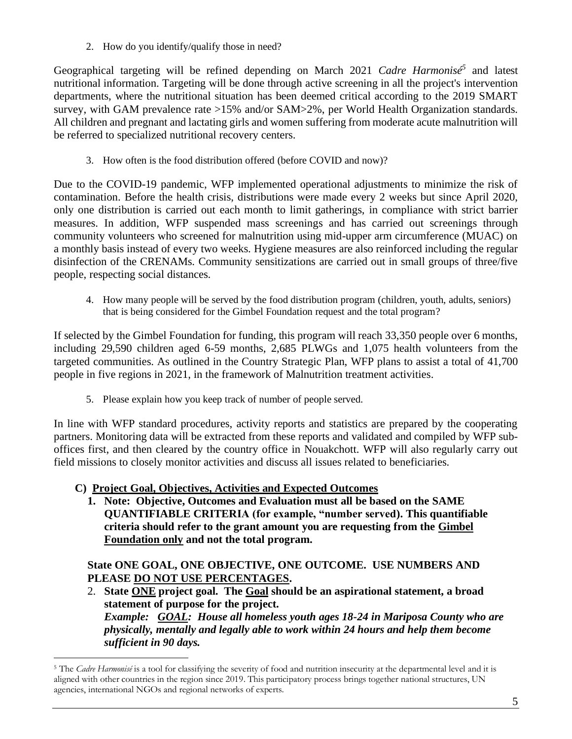2. How do you identify/qualify those in need?

Geographical targeting will be refined depending on March 2021 *Cadre Harmonisé<sup>5</sup>* and latest nutritional information. Targeting will be done through active screening in all the project's intervention departments, where the nutritional situation has been deemed critical according to the 2019 SMART survey, with GAM prevalence rate >15% and/or SAM>2%, per World Health Organization standards. All children and pregnant and lactating girls and women suffering from moderate acute malnutrition will be referred to specialized nutritional recovery centers.

3. How often is the food distribution offered (before COVID and now)?

Due to the COVID-19 pandemic, WFP implemented operational adjustments to minimize the risk of contamination. Before the health crisis, distributions were made every 2 weeks but since April 2020, only one distribution is carried out each month to limit gatherings, in compliance with strict barrier measures. In addition, WFP suspended mass screenings and has carried out screenings through community volunteers who screened for malnutrition using mid-upper arm circumference (MUAC) on a monthly basis instead of every two weeks. Hygiene measures are also reinforced including the regular disinfection of the CRENAMs. Community sensitizations are carried out in small groups of three/five people, respecting social distances.

4. How many people will be served by the food distribution program (children, youth, adults, seniors) that is being considered for the Gimbel Foundation request and the total program?

If selected by the Gimbel Foundation for funding, this program will reach 33,350 people over 6 months, including 29,590 children aged 6-59 months, 2,685 PLWGs and 1,075 health volunteers from the targeted communities. As outlined in the Country Strategic Plan, WFP plans to assist a total of 41,700 people in five regions in 2021, in the framework of Malnutrition treatment activities.

5. Please explain how you keep track of number of people served.

In line with WFP standard procedures, activity reports and statistics are prepared by the cooperating partners. Monitoring data will be extracted from these reports and validated and compiled by WFP suboffices first, and then cleared by the country office in Nouakchott. WFP will also regularly carry out field missions to closely monitor activities and discuss all issues related to beneficiaries.

- **C) Project Goal, Objectives, Activities and Expected Outcomes**
	- **1. Note: Objective, Outcomes and Evaluation must all be based on the SAME QUANTIFIABLE CRITERIA (for example, "number served). This quantifiable criteria should refer to the grant amount you are requesting from the Gimbel Foundation only and not the total program.**

## **State ONE GOAL, ONE OBJECTIVE, ONE OUTCOME. USE NUMBERS AND PLEASE DO NOT USE PERCENTAGES.**

2. **State ONE project goal. The Goal should be an aspirational statement, a broad statement of purpose for the project.**

*Example: GOAL: House all homeless youth ages 18-24 in Mariposa County who are physically, mentally and legally able to work within 24 hours and help them become sufficient in 90 days.*

<sup>&</sup>lt;sup>5</sup> The *Cadre Harmonisé* is a tool for classifying the severity of food and nutrition insecurity at the departmental level and it is aligned with other countries in the region since 2019. This participatory process brings together national structures, UN agencies, international NGOs and regional networks of experts.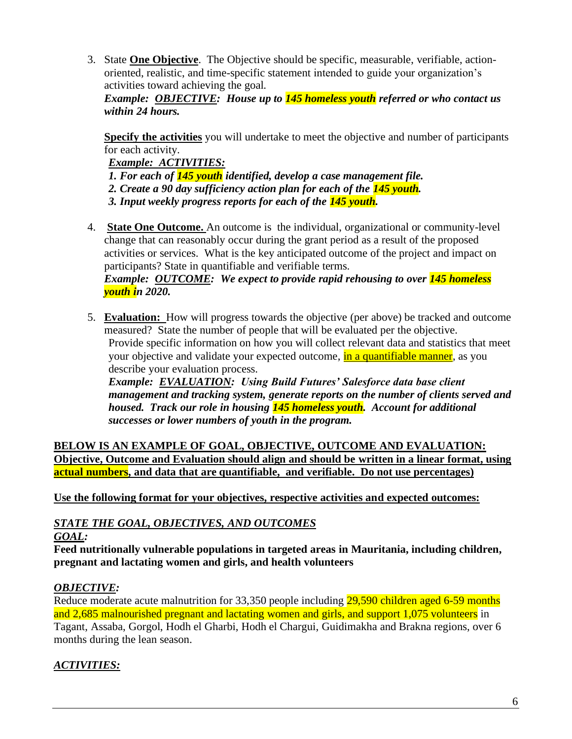3. State **One Objective**. The Objective should be specific, measurable, verifiable, actionoriented, realistic, and time-specific statement intended to guide your organization's activities toward achieving the goal.

*Example: OBJECTIVE: House up to 145 homeless youth referred or who contact us within 24 hours.*

**Specify the activities** you will undertake to meet the objective and number of participants for each activity.

*Example: ACTIVITIES:* 

- *1. For each of 145 youth identified, develop a case management file.*
- *2. Create a 90 day sufficiency action plan for each of the 145 youth.*
- *3. Input weekly progress reports for each of the 145 youth.*
- 4. **State One Outcome.** An outcome is the individual, organizational or community-level change that can reasonably occur during the grant period as a result of the proposed activities or services. What is the key anticipated outcome of the project and impact on participants? State in quantifiable and verifiable terms.

## *Example: OUTCOME: We expect to provide rapid rehousing to over 145 homeless youth in 2020.*

5. **Evaluation:** How will progress towards the objective (per above) be tracked and outcome measured? State the number of people that will be evaluated per the objective. Provide specific information on how you will collect relevant data and statistics that meet your objective and validate your expected outcome, in a quantifiable manner, as you describe your evaluation process.

*Example: EVALUATION: Using Build Futures' Salesforce data base client management and tracking system, generate reports on the number of clients served and housed. Track our role in housing 145 homeless youth. Account for additional successes or lower numbers of youth in the program.*

**BELOW IS AN EXAMPLE OF GOAL, OBJECTIVE, OUTCOME AND EVALUATION: Objective, Outcome and Evaluation should align and should be written in a linear format, using actual numbers, and data that are quantifiable, and verifiable. Do not use percentages)**

**Use the following format for your objectives, respective activities and expected outcomes:**

## *STATE THE GOAL, OBJECTIVES, AND OUTCOMES*

## *GOAL:*

**Feed nutritionally vulnerable populations in targeted areas in Mauritania, including children, pregnant and lactating women and girls, and health volunteers** 

## *OBJECTIVE:*

Reduce moderate acute malnutrition for 33,350 people including 29,590 children aged 6-59 months and 2,685 malnourished pregnant and lactating women and girls, and support 1,075 volunteers in Tagant, Assaba, Gorgol, Hodh el Gharbi, Hodh el Chargui, Guidimakha and Brakna regions, over 6 months during the lean season.

## *ACTIVITIES:*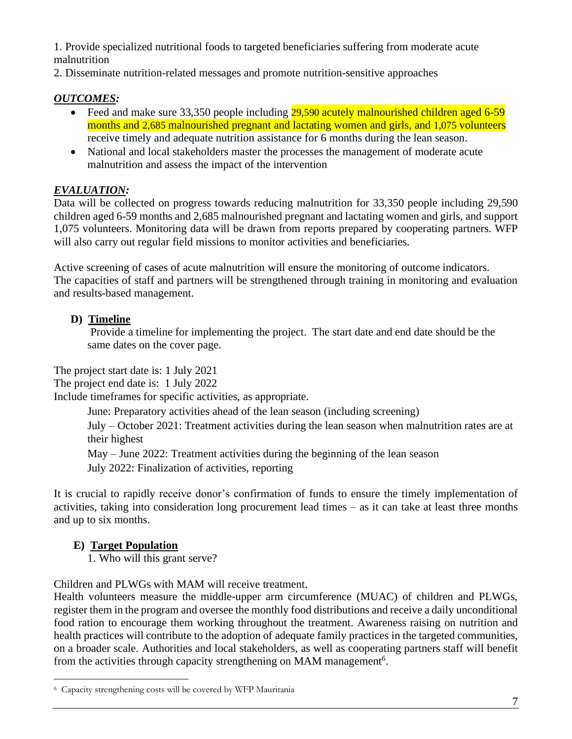1. Provide specialized nutritional foods to targeted beneficiaries suffering from moderate acute malnutrition

2. Disseminate nutrition-related messages and promote nutrition-sensitive approaches

## *OUTCOMES:*

- Feed and make sure 33,350 people including 29,590 acutely malnourished children aged 6-59 months and 2,685 malnourished pregnant and lactating women and girls, and 1,075 volunteers receive timely and adequate nutrition assistance for 6 months during the lean season.
- National and local stakeholders master the processes the management of moderate acute malnutrition and assess the impact of the intervention

## *EVALUATION:*

Data will be collected on progress towards reducing malnutrition for 33,350 people including 29,590 children aged 6-59 months and 2,685 malnourished pregnant and lactating women and girls, and support 1,075 volunteers. Monitoring data will be drawn from reports prepared by cooperating partners. WFP will also carry out regular field missions to monitor activities and beneficiaries.

Active screening of cases of acute malnutrition will ensure the monitoring of outcome indicators. The capacities of staff and partners will be strengthened through training in monitoring and evaluation and results-based management.

## **D) Timeline**

Provide a timeline for implementing the project. The start date and end date should be the same dates on the cover page.

The project start date is: 1 July 2021

The project end date is: 1 July 2022

Include timeframes for specific activities, as appropriate.

June: Preparatory activities ahead of the lean season (including screening)

July – October 2021: Treatment activities during the lean season when malnutrition rates are at their highest

May – June 2022: Treatment activities during the beginning of the lean season

July 2022: Finalization of activities, reporting

It is crucial to rapidly receive donor's confirmation of funds to ensure the timely implementation of activities, taking into consideration long procurement lead times – as it can take at least three months and up to six months.

## **E) Target Population**

1. Who will this grant serve?

Children and PLWGs with MAM will receive treatment.

Health volunteers measure the middle-upper arm circumference (MUAC) of children and PLWGs, register them in the program and oversee the monthly food distributions and receive a daily unconditional food ration to encourage them working throughout the treatment. Awareness raising on nutrition and health practices will contribute to the adoption of adequate family practices in the targeted communities, on a broader scale. Authorities and local stakeholders, as well as cooperating partners staff will benefit from the activities through capacity strengthening on MAM management<sup>6</sup>.

<sup>6</sup> Capacity strengthening costs will be covered by WFP Mauritania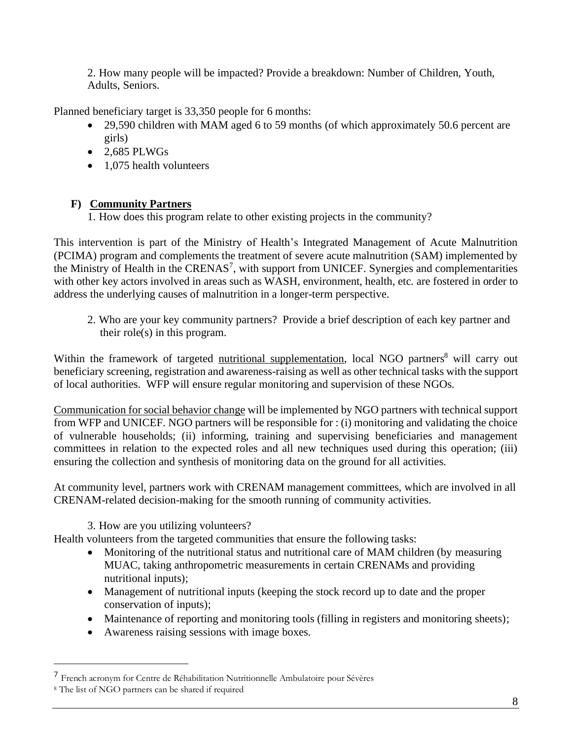2. How many people will be impacted? Provide a breakdown: Number of Children, Youth, Adults, Seniors.

Planned beneficiary target is 33,350 people for 6 months:

- 29,590 children with MAM aged 6 to 59 months (of which approximately 50.6 percent are girls)
- $\bullet$  2.685 PLWGs
- 1,075 health volunteers

## **F) Community Partners**

1. How does this program relate to other existing projects in the community?

This intervention is part of the Ministry of Health's Integrated Management of Acute Malnutrition (PCIMA) program and complements the treatment of severe acute malnutrition (SAM) implemented by the Ministry of Health in the CRENAS<sup>7</sup>, with support from UNICEF. Synergies and complementarities with other key actors involved in areas such as WASH, environment, health, etc. are fostered in order to address the underlying causes of malnutrition in a longer-term perspective.

2. Who are your key community partners? Provide a brief description of each key partner and their role(s) in this program.

Within the framework of targeted nutritional supplementation, local NGO partners<sup>8</sup> will carry out beneficiary screening, registration and awareness-raising as well as other technical tasks with the support of local authorities. WFP will ensure regular monitoring and supervision of these NGOs.

Communication for social behavior change will be implemented by NGO partners with technical support from WFP and UNICEF. NGO partners will be responsible for : (i) monitoring and validating the choice of vulnerable households; (ii) informing, training and supervising beneficiaries and management committees in relation to the expected roles and all new techniques used during this operation; (iii) ensuring the collection and synthesis of monitoring data on the ground for all activities.

At community level, partners work with CRENAM management committees, which are involved in all CRENAM-related decision-making for the smooth running of community activities.

3. How are you utilizing volunteers?

Health volunteers from the targeted communities that ensure the following tasks:

- Monitoring of the nutritional status and nutritional care of MAM children (by measuring MUAC, taking anthropometric measurements in certain CRENAMs and providing nutritional inputs);
- Management of nutritional inputs (keeping the stock record up to date and the proper conservation of inputs);
- Maintenance of reporting and monitoring tools (filling in registers and monitoring sheets);
- Awareness raising sessions with image boxes.

<sup>7</sup> French acronym for Centre de Réhabilitation Nutritionnelle Ambulatoire pour Sévères

<sup>8</sup> The list of NGO partners can be shared if required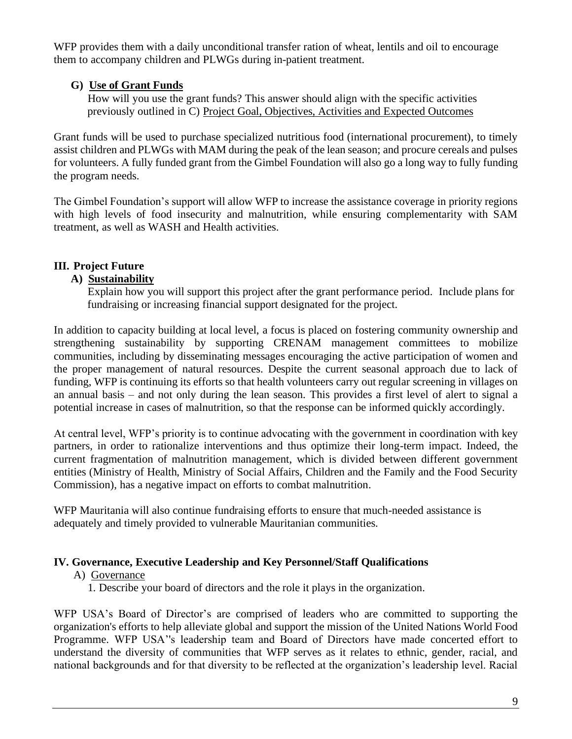WFP provides them with a daily unconditional transfer ration of wheat, lentils and oil to encourage them to accompany children and PLWGs during in-patient treatment.

## **G) Use of Grant Funds**

 How will you use the grant funds? This answer should align with the specific activities previously outlined in C) Project Goal, Objectives, Activities and Expected Outcomes

Grant funds will be used to purchase specialized nutritious food (international procurement), to timely assist children and PLWGs with MAM during the peak of the lean season; and procure cereals and pulses for volunteers. A fully funded grant from the Gimbel Foundation will also go a long way to fully funding the program needs.

The Gimbel Foundation's support will allow WFP to increase the assistance coverage in priority regions with high levels of food insecurity and malnutrition, while ensuring complementarity with SAM treatment, as well as WASH and Health activities.

## **III. Project Future**

## **A) Sustainability**

 Explain how you will support this project after the grant performance period. Include plans for fundraising or increasing financial support designated for the project.

In addition to capacity building at local level, a focus is placed on fostering community ownership and strengthening sustainability by supporting CRENAM management committees to mobilize communities, including by disseminating messages encouraging the active participation of women and the proper management of natural resources. Despite the current seasonal approach due to lack of funding, WFP is continuing its efforts so that health volunteers carry out regular screening in villages on an annual basis – and not only during the lean season. This provides a first level of alert to signal a potential increase in cases of malnutrition, so that the response can be informed quickly accordingly.

At central level, WFP's priority is to continue advocating with the government in coordination with key partners, in order to rationalize interventions and thus optimize their long-term impact. Indeed, the current fragmentation of malnutrition management, which is divided between different government entities (Ministry of Health, Ministry of Social Affairs, Children and the Family and the Food Security Commission), has a negative impact on efforts to combat malnutrition.

WFP Mauritania will also continue fundraising efforts to ensure that much-needed assistance is adequately and timely provided to vulnerable Mauritanian communities.

## **IV. Governance, Executive Leadership and Key Personnel/Staff Qualifications**

## A) Governance

1. Describe your board of directors and the role it plays in the organization.

WFP USA's Board of Director's are comprised of leaders who are committed to supporting the organization's efforts to help alleviate global and support the mission of the United Nations World Food Programme. WFP USA''s leadership team and Board of Directors have made concerted effort to understand the diversity of communities that WFP serves as it relates to ethnic, gender, racial, and national backgrounds and for that diversity to be reflected at the organization's leadership level. Racial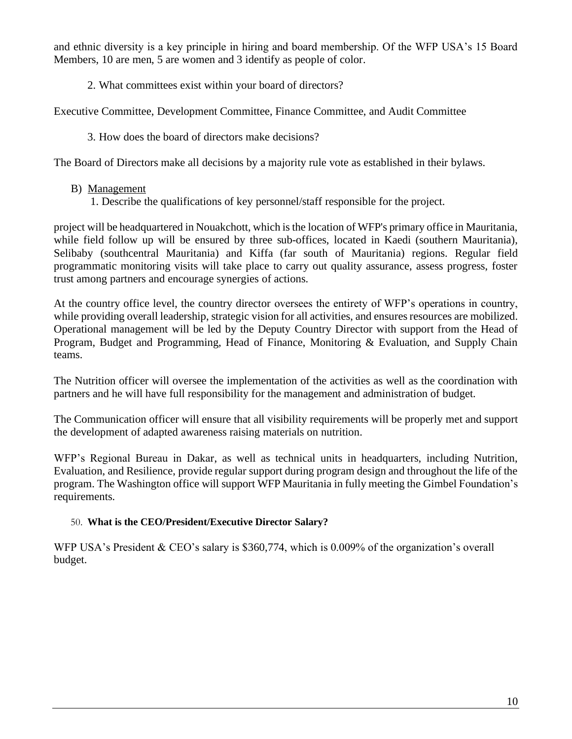and ethnic diversity is a key principle in hiring and board membership. Of the WFP USA's 15 Board Members, 10 are men, 5 are women and 3 identify as people of color.

2. What committees exist within your board of directors?

Executive Committee, Development Committee, Finance Committee, and Audit Committee

3. How does the board of directors make decisions?

The Board of Directors make all decisions by a majority rule vote as established in their bylaws.

- B) Management
	- 1. Describe the qualifications of key personnel/staff responsible for the project.

project will be headquartered in Nouakchott, which is the location of WFP's primary office in Mauritania, while field follow up will be ensured by three sub-offices, located in Kaedi (southern Mauritania), Selibaby (southcentral Mauritania) and Kiffa (far south of Mauritania) regions. Regular field programmatic monitoring visits will take place to carry out quality assurance, assess progress, foster trust among partners and encourage synergies of actions.

At the country office level, the country director oversees the entirety of WFP's operations in country, while providing overall leadership, strategic vision for all activities, and ensures resources are mobilized. Operational management will be led by the Deputy Country Director with support from the Head of Program, Budget and Programming, Head of Finance, Monitoring & Evaluation, and Supply Chain teams.

The Nutrition officer will oversee the implementation of the activities as well as the coordination with partners and he will have full responsibility for the management and administration of budget.

The Communication officer will ensure that all visibility requirements will be properly met and support the development of adapted awareness raising materials on nutrition.

WFP's Regional Bureau in Dakar, as well as technical units in headquarters, including Nutrition, Evaluation, and Resilience, provide regular support during program design and throughout the life of the program. The Washington office will support WFP Mauritania in fully meeting the Gimbel Foundation's requirements.

## 50. **What is the CEO/President/Executive Director Salary?**

WFP USA's President & CEO's salary is \$360,774, which is 0.009% of the organization's overall budget.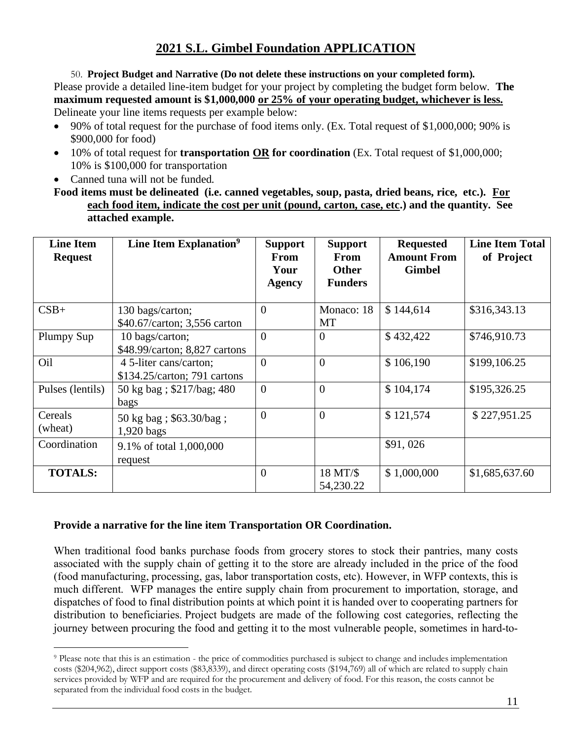50. **Project Budget and Narrative (Do not delete these instructions on your completed form).** Please provide a detailed line-item budget for your project by completing the budget form below. **The maximum requested amount is \$1,000,000 or 25% of your operating budget, whichever is less.** Delineate your line items requests per example below:

- 90% of total request for the purchase of food items only. (Ex. Total request of \$1,000,000; 90% is \$900,000 for food)
- 10% of total request for **transportation OR for coordination** (Ex. Total request of \$1,000,000; 10% is \$100,000 for transportation
- Canned tuna will not be funded.

**Food items must be delineated (i.e. canned vegetables, soup, pasta, dried beans, rice, etc.). For each food item, indicate the cost per unit (pound, carton, case, etc.) and the quantity. See attached example.**

| <b>Line Item</b><br><b>Request</b> | Line Item Explanation <sup>9</sup>                     | <b>Support</b><br>From<br>Your<br><b>Agency</b> | <b>Support</b><br>From<br><b>Other</b><br><b>Funders</b> | <b>Requested</b><br><b>Amount From</b><br><b>Gimbel</b> | <b>Line Item Total</b><br>of Project |
|------------------------------------|--------------------------------------------------------|-------------------------------------------------|----------------------------------------------------------|---------------------------------------------------------|--------------------------------------|
| $CSB+$                             | 130 bags/carton;<br>\$40.67/carton; 3,556 carton       | $\theta$                                        | Monaco: 18<br>MT                                         | \$144,614                                               | \$316,343.13                         |
| Plumpy Sup                         | 10 bags/carton;<br>\$48.99/carton; 8,827 cartons       | $\overline{0}$                                  | $\overline{0}$                                           | \$432,422                                               | \$746,910.73                         |
| Oil                                | 4 5-liter cans/carton;<br>\$134.25/carton; 791 cartons | $\theta$                                        | $\overline{0}$                                           | \$106,190                                               | \$199,106.25                         |
| Pulses (lentils)                   | 50 kg bag; \$217/bag; 480<br>bags                      | $\theta$                                        | $\overline{0}$                                           | \$104,174                                               | \$195,326.25                         |
| Cereals<br>(wheat)                 | 50 kg bag; \$63.30/bag;<br>$1,920$ bags                | $\overline{0}$                                  | $\overline{0}$                                           | \$121,574                                               | \$227,951.25                         |
| Coordination                       | 9.1% of total 1,000,000<br>request                     |                                                 |                                                          | \$91,026                                                |                                      |
| <b>TOTALS:</b>                     |                                                        | $\theta$                                        | 18 MT/\$<br>54,230.22                                    | \$1,000,000                                             | \$1,685,637.60                       |

## **Provide a narrative for the line item Transportation OR Coordination.**

When traditional food banks purchase foods from grocery stores to stock their pantries, many costs associated with the supply chain of getting it to the store are already included in the price of the food (food manufacturing, processing, gas, labor transportation costs, etc). However, in WFP contexts, this is much different. WFP manages the entire supply chain from procurement to importation, storage, and dispatches of food to final distribution points at which point it is handed over to cooperating partners for distribution to beneficiaries. Project budgets are made of the following cost categories, reflecting the journey between procuring the food and getting it to the most vulnerable people, sometimes in hard-to-

<sup>9</sup> Please note that this is an estimation - the price of commodities purchased is subject to change and includes implementation costs (\$204,962), direct support costs (\$83,8339), and direct operating costs (\$194,769) all of which are related to supply chain services provided by WFP and are required for the procurement and delivery of food. For this reason, the costs cannot be separated from the individual food costs in the budget.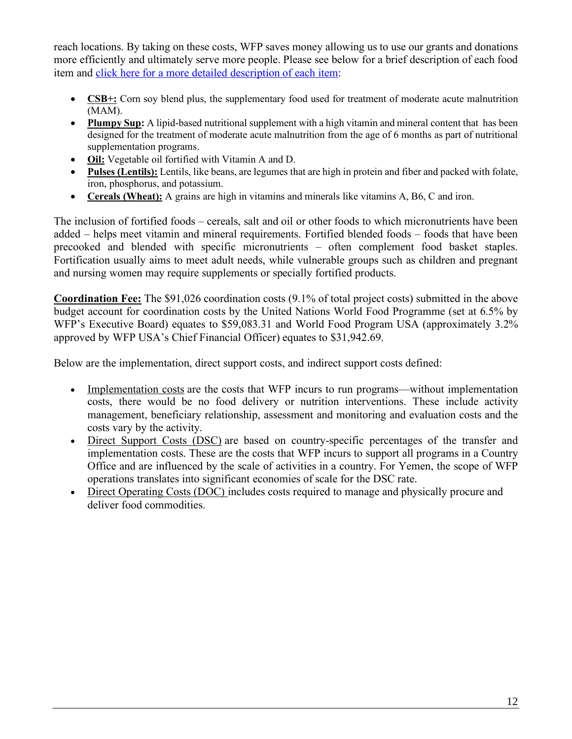reach locations. By taking on these costs, WFP saves money allowing us to use our grants and donations more efficiently and ultimately serve more people. Please see below for a brief description of each food item and click here for a more detailed [description](https://documents.wfp.org/stellent/groups/public/documents/communications/wfp255508.pdf) of each item:

- **CSB+:** Corn soy blend plus, the supplementary food used for treatment of moderate acute malnutrition (MAM).
- **Plumpy Sup:** A lipid-based nutritional supplement with a high vitamin and mineral content that has been designed for the treatment of moderate acute malnutrition from the age of 6 months as part of nutritional supplementation programs.
- **Oil:** Vegetable oil fortified with Vitamin A and D.
- **Pulses (Lentils):** Lentils, like beans, are legumes that are high in protein and fiber and packed with folate, iron, phosphorus, and potassium.
- **Cereals (Wheat):** A grains are high in vitamins and minerals like vitamins A, B6, C and iron.

The inclusion of fortified foods – cereals, salt and oil or other foods to which micronutrients have been added – helps meet vitamin and mineral requirements. Fortified blended foods – foods that have been precooked and blended with specific micronutrients – often complement food basket staples. Fortification usually aims to meet adult needs, while vulnerable groups such as children and pregnant and nursing women may require supplements or specially fortified products.

**Coordination Fee:** The \$91,026 coordination costs (9.1% of total project costs) submitted in the above budget account for coordination costs by the United Nations World Food Programme (set at 6.5% by WFP's Executive Board) equates to \$59,083.31 and World Food Program USA (approximately 3.2% approved by WFP USA's Chief Financial Officer) equates to \$31,942.69.

Below are the implementation, direct support costs, and indirect support costs defined:

- Implementation costs are the costs that WFP incurs to run programs—without implementation costs, there would be no food delivery or nutrition interventions. These include activity management, beneficiary relationship, assessment and monitoring and evaluation costs and the costs vary by the activity.
- Direct Support Costs (DSC) are based on country-specific percentages of the transfer and implementation costs. These are the costs that WFP incurs to support all programs in a Country Office and are influenced by the scale of activities in a country. For Yemen, the scope of WFP operations translates into significant economies of scale for the DSC rate.
- Direct Operating Costs (DOC) includes costs required to manage and physically procure and deliver food commodities.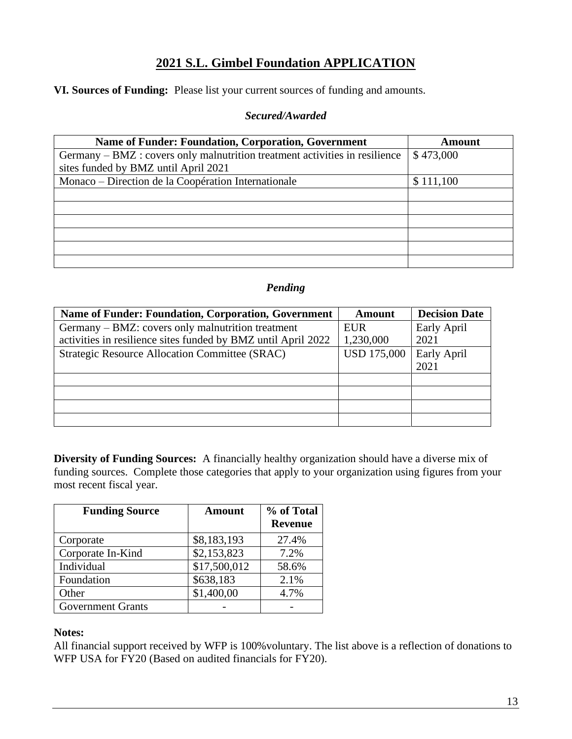**VI. Sources of Funding:** Please list your current sources of funding and amounts.

#### *Secured/Awarded*

| <b>Name of Funder: Foundation, Corporation, Government</b>                  | Amount    |
|-----------------------------------------------------------------------------|-----------|
| Germany – BMZ : covers only malnutrition treatment activities in resilience | \$473,000 |
| sites funded by BMZ until April 2021                                        |           |
| Monaco – Direction de la Coopération Internationale                         | \$111,100 |
|                                                                             |           |
|                                                                             |           |
|                                                                             |           |
|                                                                             |           |
|                                                                             |           |
|                                                                             |           |

## *Pending*

| <b>Name of Funder: Foundation, Corporation, Government</b>    | <b>Amount</b>      | <b>Decision Date</b> |
|---------------------------------------------------------------|--------------------|----------------------|
| Germany – BMZ: covers only malnutrition treatment             | <b>EUR</b>         | Early April          |
| activities in resilience sites funded by BMZ until April 2022 | 1,230,000          | 2021                 |
| <b>Strategic Resource Allocation Committee (SRAC)</b>         | <b>USD 175,000</b> | Early April          |
|                                                               |                    | 2021                 |
|                                                               |                    |                      |
|                                                               |                    |                      |
|                                                               |                    |                      |
|                                                               |                    |                      |

**Diversity of Funding Sources:** A financially healthy organization should have a diverse mix of funding sources. Complete those categories that apply to your organization using figures from your most recent fiscal year.

| <b>Funding Source</b>    | <b>Amount</b> | % of Total<br><b>Revenue</b> |
|--------------------------|---------------|------------------------------|
| Corporate                | \$8,183,193   | 27.4%                        |
| Corporate In-Kind        | \$2,153,823   | 7.2%                         |
| Individual               | \$17,500,012  | 58.6%                        |
| Foundation               | \$638,183     | 2.1%                         |
| Other                    | \$1,400,00    | 4.7%                         |
| <b>Government Grants</b> |               |                              |

#### **Notes:**

All financial support received by WFP is 100%voluntary. The list above is a reflection of donations to WFP USA for FY20 (Based on audited financials for FY20).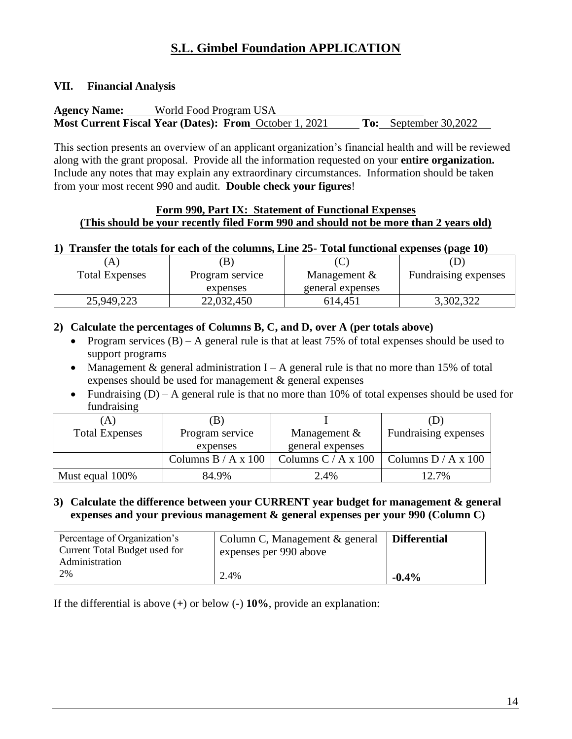### **VII. Financial Analysis**

| <b>Agency Name:</b> | World Food Program USA                                        |                              |
|---------------------|---------------------------------------------------------------|------------------------------|
|                     | <b>Most Current Fiscal Year (Dates): From October 1, 2021</b> | <b>To:</b> September 30,2022 |

This section presents an overview of an applicant organization's financial health and will be reviewed along with the grant proposal. Provide all the information requested on your **entire organization.**  Include any notes that may explain any extraordinary circumstances. Information should be taken from your most recent 990 and audit. **Double check your figures**!

### **Form 990, Part IX: Statement of Functional Expenses (This should be your recently filed Form 990 and should not be more than 2 years old)**

#### **1) Transfer the totals for each of the columns, Line 25- Total functional expenses (page 10)**

|                       | B               |                  | $\cdots$                     |
|-----------------------|-----------------|------------------|------------------------------|
| <b>Total Expenses</b> | Program service | Management $\&$  | <b>Eundralising expenses</b> |
|                       | expenses        | general expenses |                              |
| 25,949,223            | 22,032,450      | 614,451          | 3,302,322                    |

## **2) Calculate the percentages of Columns B, C, and D, over A (per totals above)**

- Program services  $(B)$  A general rule is that at least 75% of total expenses should be used to support programs
- Management  $\&$  general administration I A general rule is that no more than 15% of total expenses should be used for management & general expenses
- Fundraising  $(D) A$  general rule is that no more than 10% of total expenses should be used for fundraising

| (A)                   | B)                    |                       |                       |
|-----------------------|-----------------------|-----------------------|-----------------------|
| <b>Total Expenses</b> | Program service       | Management $&$        | Fundraising expenses  |
|                       | expenses              | general expenses      |                       |
|                       | Columns $B / A x 100$ | Columns $C / A x 100$ | Columns $D / A x 100$ |
| Must equal 100%       | 84.9%                 | 2.4%                  | 12.7%                 |

## **3) Calculate the difference between your CURRENT year budget for management & general expenses and your previous management & general expenses per your 990 (Column C)**

| Percentage of Organization's<br>Current Total Budget used for | Column C, Management & general<br>expenses per 990 above | <b>Differential</b> |
|---------------------------------------------------------------|----------------------------------------------------------|---------------------|
| Administration                                                |                                                          |                     |
| 2%                                                            | 2.4%                                                     | $-0.4\%$            |

If the differential is above (**+**) or below (**-**) **10%**, provide an explanation: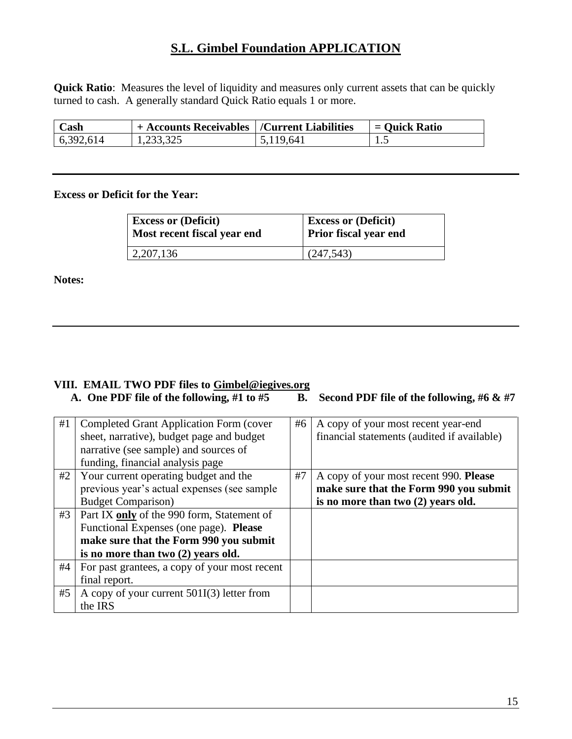**Quick Ratio**: Measures the level of liquidity and measures only current assets that can be quickly turned to cash. A generally standard Quick Ratio equals 1 or more.

| $\mathbb C$ ash | <sup>1</sup> + Accounts Receivables   /Current Liabilities |           | $=$ Ouick Ratio |
|-----------------|------------------------------------------------------------|-----------|-----------------|
| 6,392,614       |                                                            | 5.119.641 | ن د ک           |

#### **Excess or Deficit for the Year:**

| <b>Excess or (Deficit)</b>  | <b>Excess or (Deficit)</b> |  |  |  |
|-----------------------------|----------------------------|--|--|--|
| Most recent fiscal year end | Prior fiscal year end      |  |  |  |
| $\vert 2,207,136 \vert$     | (247, 543)                 |  |  |  |

**Notes:**

# **VIII.** EMAIL TWO PDF files to **Gimbel@iegives.org**<br>A. One PDF file of the following, #1 to #5 B.

## **B.** Second PDF file of the following, #6 & #7

| #1 | <b>Completed Grant Application Form (cover</b> | #6 | A copy of your most recent year-end         |
|----|------------------------------------------------|----|---------------------------------------------|
|    | sheet, narrative), budget page and budget      |    | financial statements (audited if available) |
|    | narrative (see sample) and sources of          |    |                                             |
|    | funding, financial analysis page               |    |                                             |
| #2 | Your current operating budget and the          | #7 | A copy of your most recent 990. Please      |
|    | previous year's actual expenses (see sample    |    | make sure that the Form 990 you submit      |
|    | <b>Budget Comparison</b> )                     |    | is no more than two (2) years old.          |
| #3 | Part IX only of the 990 form, Statement of     |    |                                             |
|    | Functional Expenses (one page). Please         |    |                                             |
|    | make sure that the Form 990 you submit         |    |                                             |
|    | is no more than two (2) years old.             |    |                                             |
| #4 | For past grantees, a copy of your most recent  |    |                                             |
|    | final report.                                  |    |                                             |
| #5 | A copy of your current $501I(3)$ letter from   |    |                                             |
|    | the IRS                                        |    |                                             |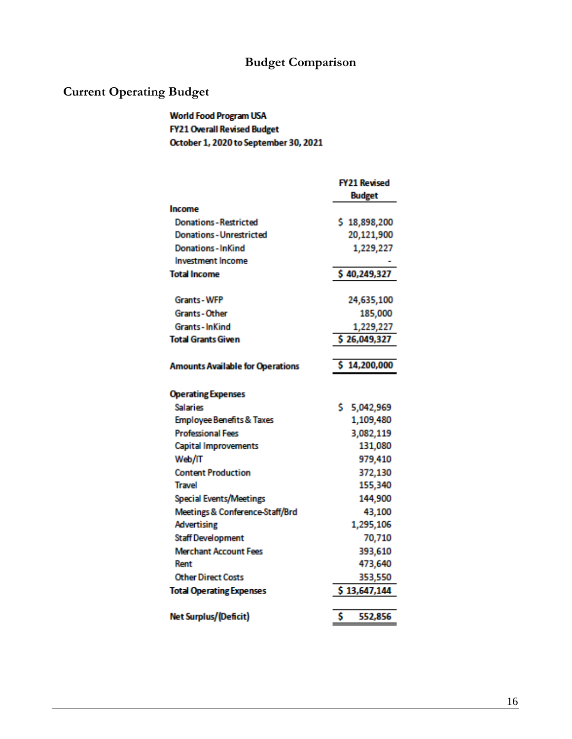## **Budget Comparison**

## **Current Operating Budget**

## World Food Program USA **FY21 Overall Revised Budget** October 1, 2020 to September 30, 2021

|                                         | <b>FY21 Revised</b> |
|-----------------------------------------|---------------------|
|                                         | <b>Budget</b>       |
| Income                                  |                     |
| <b>Donations - Restricted</b>           | \$18,898,200        |
| <b>Donations - Unrestricted</b>         | 20,121,900          |
| <b>Donations-InKind</b>                 | 1,229,227           |
| <b>Investment Income</b>                |                     |
| <b>Total Income</b>                     | \$40,249,327        |
| Grants-WFP                              | 24,635,100          |
| <b>Grants-Other</b>                     | 185,000             |
| Grants-InKind                           | 1,229,227           |
| Total Grants Given                      | \$26,049,327        |
|                                         |                     |
| <b>Amounts Available for Operations</b> | \$14,200,000        |
| <b>Operating Expenses</b>               |                     |
| <b>Salaries</b>                         | s.<br>5,042,969     |
| <b>Employee Benefits &amp; Taxes</b>    | 1,109,480           |
| <b>Professional Fees</b>                | 3,082,119           |
| <b>Capital Improvements</b>             | 131,080             |
| Web/IT                                  | 979,410             |
| <b>Content Production</b>               | 372,130             |
| Travel                                  | 155,340             |
| <b>Special Events/Meetings</b>          | 144,900             |
| Meetings & Conference-Staff/Brd         | 43,100              |
| <b>Advertising</b>                      | 1,295,106           |
| <b>Staff Development</b>                | 70,710              |
| <b>Merchant Account Fees</b>            | 393,610             |
| Rent                                    | 473,640             |
| <b>Other Direct Costs</b>               | 353,550             |
| <b>Total Operating Expenses</b>         | \$13,647,144        |
|                                         |                     |
| Net Surplus/(Deficit)                   | \$<br>552,856       |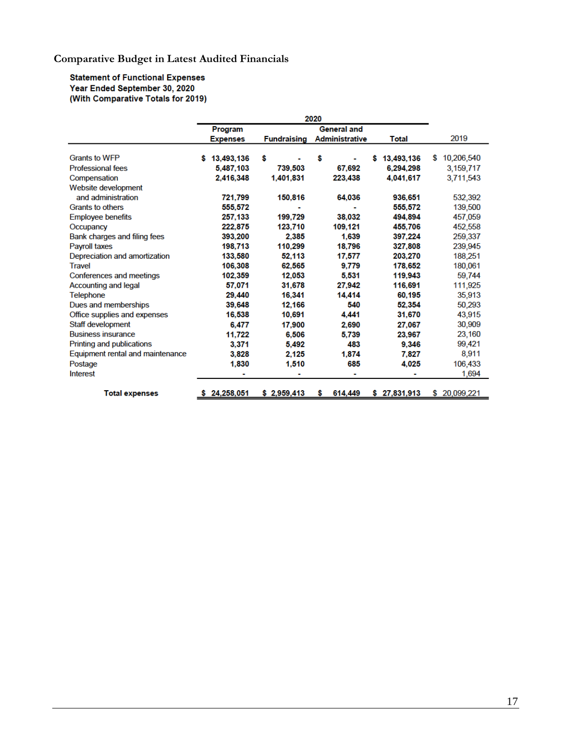## **Comparative Budget in Latest Audited Financials**

**Statement of Functional Expenses** Year Ended September 30, 2020<br>With Comparative Totals for 2019)

|                                  | 2020            |                    |                       |                 |                 |
|----------------------------------|-----------------|--------------------|-----------------------|-----------------|-----------------|
|                                  | Program         |                    | <b>General and</b>    |                 |                 |
|                                  | <b>Expenses</b> | <b>Fundraising</b> | <b>Administrative</b> | <b>Total</b>    | 2019            |
| <b>Grants to WFP</b>             | 13.493.136<br>s | \$                 | \$                    | 13,493,136<br>S | 10,206,540<br>S |
| <b>Professional fees</b>         | 5,487,103       | 739.503            | 67,692                | 6.294.298       | 3,159,717       |
| Compensation                     | 2,416,348       | 1,401,831          | 223.438               | 4,041,617       | 3,711,543       |
| Website development              |                 |                    |                       |                 |                 |
| and administration               | 721.799         | 150,816            | 64.036                | 936,651         | 532,392         |
| <b>Grants to others</b>          | 555,572         |                    |                       | 555,572         | 139,500         |
| <b>Employee benefits</b>         | 257,133         | 199.729            | 38.032                | 494.894         | 457,059         |
| Occupancy                        | 222.875         | 123,710            | 109,121               | 455,706         | 452,558         |
| Bank charges and filing fees     | 393,200         | 2.385              | 1,639                 | 397,224         | 259,337         |
| Payroll taxes                    | 198,713         | 110,299            | 18,796                | 327,808         | 239,945         |
| Depreciation and amortization    | 133,580         | 52.113             | 17,577                | 203.270         | 188,251         |
| <b>Travel</b>                    | 106,308         | 62.565             | 9.779                 | 178,652         | 180,061         |
| Conferences and meetings         | 102.359         | 12.053             | 5.531                 | 119,943         | 59,744          |
| <b>Accounting and legal</b>      | 57.071          | 31,678             | 27.942                | 116,691         | 111,925         |
| <b>Telephone</b>                 | 29,440          | 16,341             | 14,414                | 60,195          | 35,913          |
| Dues and memberships             | 39,648          | 12,166             | 540                   | 52,354          | 50,293          |
| Office supplies and expenses     | 16,538          | 10,691             | 4.441                 | 31,670          | 43,915          |
| Staff development                | 6.477           | 17,900             | 2,690                 | 27.067          | 30,909          |
| <b>Business insurance</b>        | 11,722          | 6.506              | 5,739                 | 23,967          | 23,160          |
| Printing and publications        | 3,371           | 5,492              | 483                   | 9,346           | 99,421          |
| Equipment rental and maintenance | 3.828           | 2,125              | 1,874                 | 7.827           | 8,911           |
| Postage                          | 1,830           | 1,510              | 685                   | 4,025           | 106,433         |
| <b>Interest</b>                  |                 |                    |                       |                 | 1,694           |
| <b>Total expenses</b>            | \$24.258.051    | \$2,959,413        | \$<br>614,449         | \$27,831,913    | \$ 20,099,221   |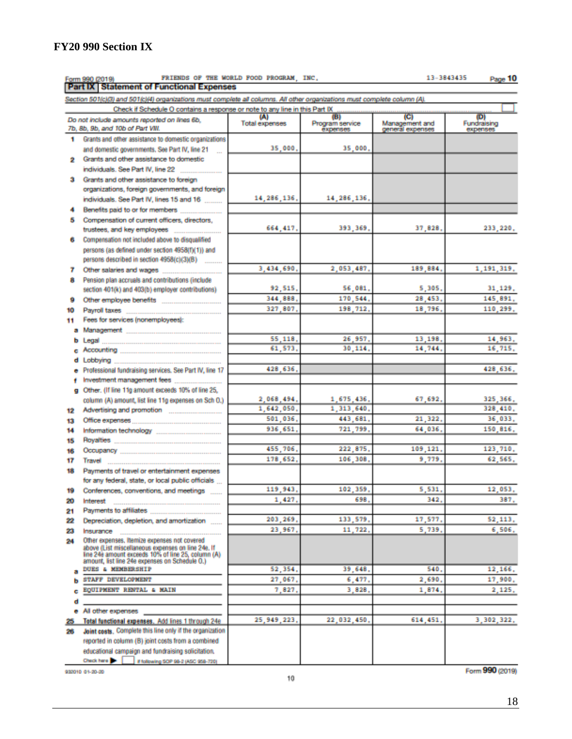Form 990 (2019)

Section 501(c)(3) and 501(c)(4) organizations must complete all columns. All other organizations must complete column (A).

**FY20 990 Section IX**

FRIENDS OF THE WORLD FOOD PROGRAM, INC.

Form 990 (2019) FRIENDS OF THE WORLD<br>Part IX Statement of Functional Expenses

|          | Check if Schedule O contains a response or note to any line in this Part IX                          |                              |                                    |                                           |                               |  |
|----------|------------------------------------------------------------------------------------------------------|------------------------------|------------------------------------|-------------------------------------------|-------------------------------|--|
|          | Do not include amounts reported on lines 6b,<br>7b, 8b, 9b, and 10b of Part VIII.                    | (A)<br><b>Total expenses</b> | (B)<br>Program service<br>expenses | (C)<br>Management and<br>general expenses | ΦI<br>Fundraising<br>expenses |  |
| ۰        | Grants and other assistance to domestic organizations                                                |                              |                                    |                                           |                               |  |
|          | and domestic governments. See Part IV, line 21                                                       | 35,000,                      | 35,000,                            |                                           |                               |  |
| 2        | Grants and other assistance to domestic                                                              |                              |                                    |                                           |                               |  |
|          | individuals. See Part IV, line 22                                                                    |                              |                                    |                                           |                               |  |
| з        | Grants and other assistance to foreign                                                               |                              |                                    |                                           |                               |  |
|          | organizations, foreign governments, and foreign                                                      |                              |                                    |                                           |                               |  |
|          | individuals. See Part IV, lines 15 and 16                                                            | 14, 286, 136,                | 14, 286, 136,                      |                                           |                               |  |
|          |                                                                                                      |                              |                                    |                                           |                               |  |
| 5        | Compensation of current officers, directors,                                                         |                              |                                    |                                           |                               |  |
|          |                                                                                                      | 664.417.                     | 393, 369,                          | 37,828.                                   | 233, 220,                     |  |
| 6        | Compensation not included above to disqualified                                                      |                              |                                    |                                           |                               |  |
|          | persons (as defined under section 4958(f)(1)) and                                                    |                              |                                    |                                           |                               |  |
|          | persons described in section 4958(c)(3)(B)                                                           |                              |                                    |                                           |                               |  |
| 7        |                                                                                                      | 3,434,690,                   | 2,053,487.                         | 189,884.                                  | 1,191,319,                    |  |
| в        | Pension plan accruals and contributions (include                                                     |                              |                                    |                                           |                               |  |
|          | section 401(k) and 403(b) employer contributions)                                                    | 92,515.                      | 56,081.                            | 5,305,                                    | 31, 129,                      |  |
| ۰        |                                                                                                      | 344 888.                     | 170.544.                           | 28,453,                                   | 145 891.                      |  |
| 10       |                                                                                                      | 327,807.                     | 198, 712.                          | 18,796.                                   | 110 299.                      |  |
| 11.      | Fees for services (nonemployees):                                                                    |                              |                                    |                                           |                               |  |
|          |                                                                                                      | 55,118,                      |                                    | 13,198,                                   |                               |  |
|          |                                                                                                      | 61.573.                      | 26.957.<br>30,114.                 | 14,744.                                   | 14,963,<br>16,715,            |  |
|          |                                                                                                      |                              |                                    |                                           |                               |  |
| d        | Professional fundraising services. See Part IV, line 17                                              | 428,636,                     |                                    |                                           | 428,636,                      |  |
|          |                                                                                                      |                              |                                    |                                           |                               |  |
|          | g Other, (If line 11g amount exceeds 10% of line 25,                                                 |                              |                                    |                                           |                               |  |
|          | column (A) amount, list line 11g expenses on Sch O.)                                                 | 2,068,494,                   | 1,675,436,                         | 67.692.                                   | 325, 366,                     |  |
| 12       |                                                                                                      | 1,642,050,                   | 1,313,640,                         |                                           | 328,410.                      |  |
| 13       |                                                                                                      | 501.036.                     | 443,681.                           | 21,322.                                   | 36,033.                       |  |
| 14       |                                                                                                      | 936.651.                     | 721.799.                           | 64,036.                                   | 150,816.                      |  |
| 15       |                                                                                                      |                              |                                    |                                           |                               |  |
| 16       |                                                                                                      | 455,706,                     | 222.875.                           | 109,121                                   | 123,710,                      |  |
| 17       |                                                                                                      | 178,652.                     | 106,308                            | 9,779                                     | 62,565,                       |  |
| 18       | Payments of travel or entertainment expenses                                                         |                              |                                    |                                           |                               |  |
|          | for any federal, state, or local public officials                                                    |                              |                                    |                                           |                               |  |
| 19       | Conferences, conventions, and meetings                                                               | 119,943.                     | 102,359,                           | 5,531.                                    | 12,053,                       |  |
| 20       | Interest                                                                                             | 1,427.                       | 698.                               | 342.                                      | 387.                          |  |
| 21       |                                                                                                      | 203.269.                     | 133.579.                           | 17 577.                                   | 52 113.                       |  |
| 22<br>23 | Depreciation, depletion, and amortization                                                            | 23,967,                      | 11,722,                            | 5,739,                                    | 6,506,                        |  |
| 24       | Insurance<br>Other expenses, itemize expenses not covered                                            |                              |                                    |                                           |                               |  |
|          | above (List miscellaneous expenses on line 24e, If                                                   |                              |                                    |                                           |                               |  |
|          | line 24e amount exceeds 10% of line 25, column (A)<br>amount, list line 24e expenses on Schedule O.) |                              |                                    |                                           |                               |  |
|          | <b>DUES &amp; MEMBERSHIP</b>                                                                         | 52,354,                      | 39,648,                            | 540.                                      | 12,166,                       |  |
|          | STAFF DEVELOPMENT                                                                                    | 27,067.                      | 6.477.                             | 2,690                                     | 17,900,                       |  |
|          | <b>EQUIPMENT RENTAL &amp; MAIN</b>                                                                   | 7.827.                       | 3.828                              | 1,874                                     | 2,125,                        |  |
| d        |                                                                                                      |                              |                                    |                                           |                               |  |
|          | All other expenses                                                                                   |                              |                                    |                                           |                               |  |
| 25.      | Total functional expenses. Add lines 1 through 24e                                                   | 25, 949, 223,                | 22,032,450,                        | 614,451,                                  | 3, 302, 322,                  |  |
| 26       | Joint costs. Complete this line only if the organization                                             |                              |                                    |                                           |                               |  |
|          | reported in column (B) joint costs from a combined                                                   |                              |                                    |                                           |                               |  |
|          | educational campaign and fundraising solicitation.                                                   |                              |                                    |                                           |                               |  |
|          | Check here <b>De</b><br># following SOP 98-2 (ASC 958-720)                                           |                              |                                    |                                           |                               |  |

#### 13-3843435 Page 10

932010 01-20-20